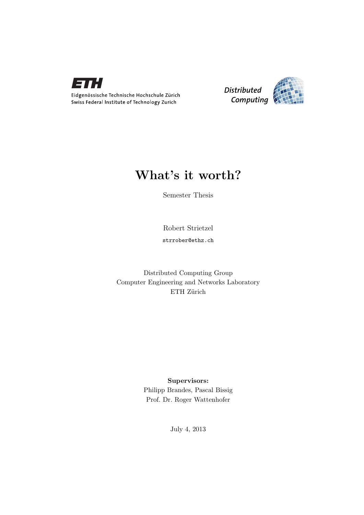



### What's it worth?

Semester Thesis

Robert Strietzel

strrober@ethz.ch

Distributed Computing Group Computer Engineering and Networks Laboratory ETH Zürich

> Supervisors: Philipp Brandes, Pascal Bissig Prof. Dr. Roger Wattenhofer

> > July 4, 2013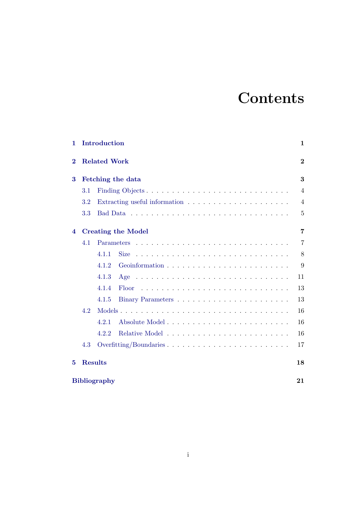# **Contents**

| $\mathbf{1}$ |                           | Introduction                                                                     | 1              |  |  |  |  |
|--------------|---------------------------|----------------------------------------------------------------------------------|----------------|--|--|--|--|
| $\bf{2}$     |                           | <b>Related Work</b>                                                              | $\overline{2}$ |  |  |  |  |
| 3            | Fetching the data         |                                                                                  |                |  |  |  |  |
|              | 3.1                       |                                                                                  | $\overline{4}$ |  |  |  |  |
|              | 3.2                       | Extracting useful information $\ldots \ldots \ldots \ldots \ldots \ldots \ldots$ | $\overline{4}$ |  |  |  |  |
|              | 3.3                       |                                                                                  | 5              |  |  |  |  |
| 4            | <b>Creating the Model</b> |                                                                                  |                |  |  |  |  |
|              | 4.1                       |                                                                                  | $\overline{7}$ |  |  |  |  |
|              |                           | 4.1.1<br><b>Size</b>                                                             | 8              |  |  |  |  |
|              |                           | 4.1.2                                                                            | 9              |  |  |  |  |
|              |                           | 4.1.3                                                                            | 11             |  |  |  |  |
|              |                           | 4.1.4<br><b>Floor</b>                                                            | 13             |  |  |  |  |
|              |                           | 4.1.5                                                                            | 13             |  |  |  |  |
| 4.2          |                           |                                                                                  | 16             |  |  |  |  |
|              |                           | 4.2.1                                                                            | 16             |  |  |  |  |
|              |                           | 4.2.2                                                                            | 16             |  |  |  |  |
|              | 4.3                       |                                                                                  | 17             |  |  |  |  |
| 5            | <b>Results</b>            |                                                                                  |                |  |  |  |  |
|              | <b>Bibliography</b>       |                                                                                  |                |  |  |  |  |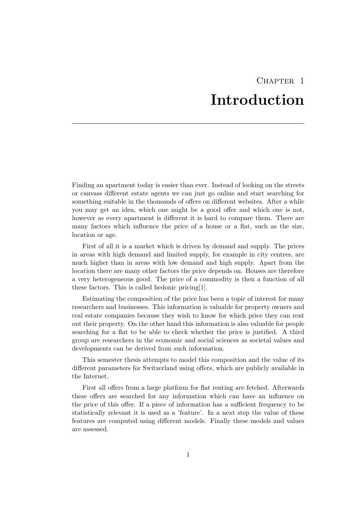## CHAPTER<sub>1</sub> Introduction

<span id="page-2-0"></span>Finding an apartment today is easier than ever. Instead of looking on the streets or canvass different estate agents we can just go online and start searching for something suitable in the thousands of offers on different websites. After a while you may get an idea, which one might be a good offer and which one is not, however as every apartment is different it is hard to compare them. There are many factors which influence the price of a house or a flat, such as the size, location or age.

First of all it is a market which is driven by demand and supply. The prices in areas with high demand and limited supply, for example in city centres, are much higher than in areas with low demand and high supply. Apart from the location there are many other factors the price depends on. Houses are therefore a very heterogeneous good. The price of a commodity is then a function of all these factors. This is called hedonic pricing[\[1\]](#page-22-1).

Estimating the composition of the price has been a topic of interest for many researchers and businesses. This information is valuable for property owners and real estate companies because they wish to know for which price they can rent out their property. On the other hand this information is also valuable for people searching for a flat to be able to check whether the price is justified. A third group are researchers in the economic and social sciences as societal values and developments can be derived from such information.

This semester thesis attempts to model this composition and the value of its different parameters for Switzerland using offers, which are publicly available in the Internet.

First all offers from a large platform for flat renting are fetched. Afterwards these offers are searched for any information which can have an influence on the price of this offer. If a piece of information has a sufficient frequency to be statistically relevant it is used as a 'feature'. In a next step the value of these features are computed using different models. Finally these models and values are assessed.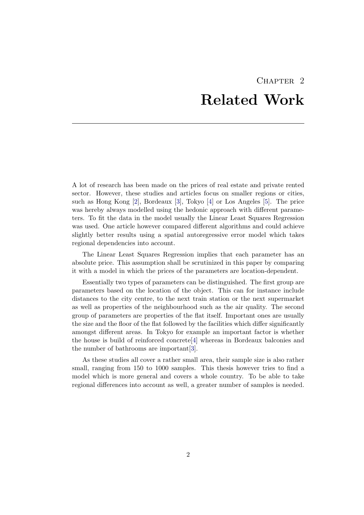## CHAPTER<sub>2</sub> Related Work

<span id="page-3-0"></span>A lot of research has been made on the prices of real estate and private rented sector. However, these studies and articles focus on smaller regions or cities, such as Hong Kong [\[2\]](#page-22-2), Bordeaux [\[3\]](#page-22-3), Tokyo [\[4\]](#page-22-4) or Los Angeles [\[5\]](#page-22-5). The price was hereby always modelled using the hedonic approach with different parameters. To fit the data in the model usually the Linear Least Squares Regression was used. One article however compared different algorithms and could achieve slightly better results using a spatial autoregressive error model which takes regional dependencies into account.

The Linear Least Squares Regression implies that each parameter has an absolute price. This assumption shall be scrutinized in this paper by comparing it with a model in which the prices of the parameters are location-dependent.

Essentially two types of parameters can be distinguished. The first group are parameters based on the location of the object. This can for instance include distances to the city centre, to the next train station or the next supermarket as well as properties of the neighbourhood such as the air quality. The second group of parameters are properties of the flat itself. Important ones are usually the size and the floor of the flat followed by the facilities which differ significantly amongst different areas. In Tokyo for example an important factor is whether the house is build of reinforced concrete[\[4\]](#page-22-4) whereas in Bordeaux balconies and the number of bathrooms are important[\[3\]](#page-22-3).

As these studies all cover a rather small area, their sample size is also rather small, ranging from 150 to 1000 samples. This thesis however tries to find a model which is more general and covers a whole country. To be able to take regional differences into account as well, a greater number of samples is needed.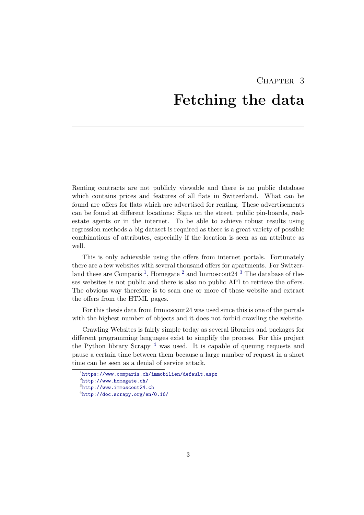# <span id="page-4-0"></span>CHAPTER<sub>3</sub> Fetching the data

Renting contracts are not publicly viewable and there is no public database which contains prices and features of all flats in Switzerland. What can be found are offers for flats which are advertised for renting. These advertisements can be found at different locations: Signs on the street, public pin-boards, realestate agents or in the internet. To be able to achieve robust results using regression methods a big dataset is required as there is a great variety of possible combinations of attributes, especially if the location is seen as an attribute as well.

This is only achievable using the offers from internet portals. Fortunately there are a few websites with several thousand offers for apartments. For Switzer-land these are Comparis<sup>[1](#page-4-1)</sup>, Homegate<sup>[2](#page-4-2)</sup> and Immoscout24<sup>[3](#page-4-3)</sup> The database of theses websites is not public and there is also no public API to retrieve the offers. The obvious way therefore is to scan one or more of these website and extract the offers from the HTML pages.

For this thesis data from Immoscout24 was used since this is one of the portals with the highest number of objects and it does not forbid crawling the website.

Crawling Websites is fairly simple today as several libraries and packages for different programming languages exist to simplify the process. For this project the Python library Scrapy  $4$  was used. It is capable of queuing requests and pause a certain time between them because a large number of request in a short time can be seen as a denial of service attack.

<span id="page-4-2"></span><span id="page-4-1"></span><sup>1</sup> <https://www.comparis.ch/immobilien/default.aspx>

 $^{2}$ <http://www.homegate.ch/>

<span id="page-4-3"></span> $^3$ <http://www.immoscout24.ch>

<span id="page-4-4"></span><sup>4</sup> <http://doc.scrapy.org/en/0.16/>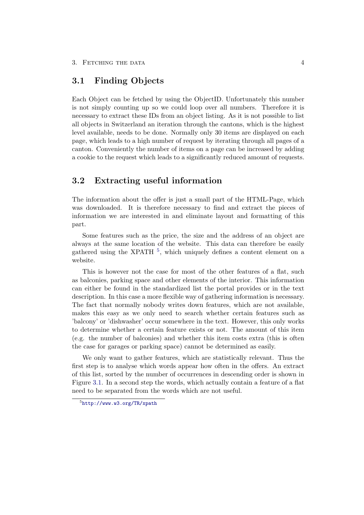### <span id="page-5-0"></span>3.1 Finding Objects

Each Object can be fetched by using the ObjectID. Unfortunately this number is not simply counting up so we could loop over all numbers. Therefore it is necessary to extract these IDs from an object listing. As it is not possible to list all objects in Switzerland an iteration through the cantons, which is the highest level available, needs to be done. Normally only 30 items are displayed on each page, which leads to a high number of request by iterating through all pages of a canton. Conveniently the number of items on a page can be increased by adding a cookie to the request which leads to a significantly reduced amount of requests.

### <span id="page-5-1"></span>3.2 Extracting useful information

The information about the offer is just a small part of the HTML-Page, which was downloaded. It is therefore necessary to find and extract the pieces of information we are interested in and eliminate layout and formatting of this part.

Some features such as the price, the size and the address of an object are always at the same location of the website. This data can therefore be easily gathered using the XPATH <sup>[5](#page-5-2)</sup>, which uniquely defines a content element on a website.

This is however not the case for most of the other features of a flat, such as balconies, parking space and other elements of the interior. This information can either be found in the standardized list the portal provides or in the text description. In this case a more flexible way of gathering information is necessary. The fact that normally nobody writes down features, which are not available, makes this easy as we only need to search whether certain features such as 'balcony' or 'dishwasher' occur somewhere in the text. However, this only works to determine whether a certain feature exists or not. The amount of this item (e.g. the number of balconies) and whether this item costs extra (this is often the case for garages or parking space) cannot be determined as easily.

We only want to gather features, which are statistically relevant. Thus the first step is to analyse which words appear how often in the offers. An extract of this list, sorted by the number of occurrences in descending order is shown in Figure [3.1.](#page-6-1) In a second step the words, which actually contain a feature of a flat need to be separated from the words which are not useful.

<span id="page-5-2"></span><sup>5</sup> <http://www.w3.org/TR/xpath>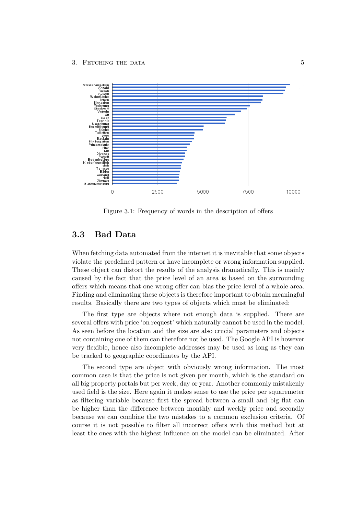

<span id="page-6-1"></span>Figure 3.1: Frequency of words in the description of offers

### <span id="page-6-0"></span>3.3 Bad Data

When fetching data automated from the internet it is inevitable that some objects violate the predefined pattern or have incomplete or wrong information supplied. These object can distort the results of the analysis dramatically. This is mainly caused by the fact that the price level of an area is based on the surrounding offers which means that one wrong offer can bias the price level of a whole area. Finding and eliminating these objects is therefore important to obtain meaningful results. Basically there are two types of objects which must be eliminated:

The first type are objects where not enough data is supplied. There are several offers with price 'on request' which naturally cannot be used in the model. As seen before the location and the size are also crucial parameters and objects not containing one of them can therefore not be used. The Google API is however very flexible, hence also incomplete addresses may be used as long as they can be tracked to geographic coordinates by the API.

The second type are object with obviously wrong information. The most common case is that the price is not given per month, which is the standard on all big property portals but per week, day or year. Another commonly mistakenly used field is the size. Here again it makes sense to use the price per squaremeter as filtering variable because first the spread between a small and big flat can be higher than the difference between monthly and weekly price and secondly because we can combine the two mistakes to a common exclusion criteria. Of course it is not possible to filter all incorrect offers with this method but at least the ones with the highest influence on the model can be eliminated. After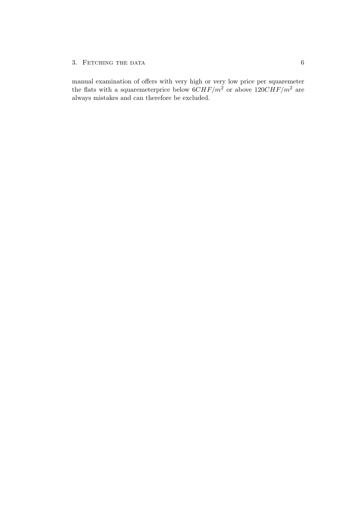#### 3. FETCHING THE DATA  $6$

manual examination of offers with very high or very low price per squaremeter the flats with a squaremeterprice below  $6CHF/m^2$  or above  $120CHF/m^2$  are always mistakes and can therefore be excluded.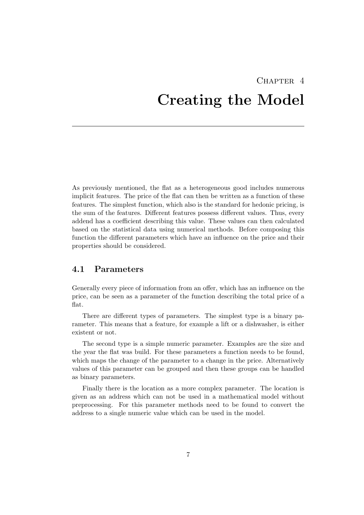# <span id="page-8-0"></span>CHAPTER<sub>4</sub> Creating the Model

As previously mentioned, the flat as a heterogeneous good includes numerous implicit features. The price of the flat can then be written as a function of these features. The simplest function, which also is the standard for hedonic pricing, is the sum of the features. Different features possess different values. Thus, every addend has a coefficient describing this value. These values can then calculated based on the statistical data using numerical methods. Before composing this function the different parameters which have an influence on the price and their properties should be considered.

### <span id="page-8-1"></span>4.1 Parameters

Generally every piece of information from an offer, which has an influence on the price, can be seen as a parameter of the function describing the total price of a flat.

There are different types of parameters. The simplest type is a binary parameter. This means that a feature, for example a lift or a dishwasher, is either existent or not.

The second type is a simple numeric parameter. Examples are the size and the year the flat was build. For these parameters a function needs to be found, which maps the change of the parameter to a change in the price. Alternatively values of this parameter can be grouped and then these groups can be handled as binary parameters.

Finally there is the location as a more complex parameter. The location is given as an address which can not be used in a mathematical model without preprocessing. For this parameter methods need to be found to convert the address to a single numeric value which can be used in the model.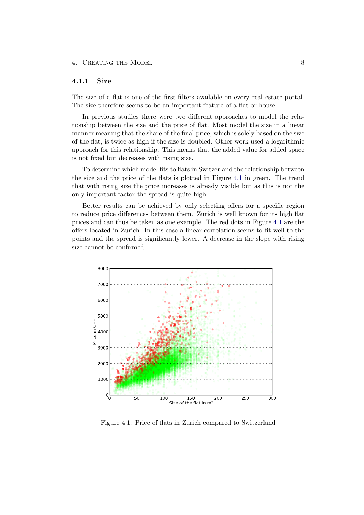#### <span id="page-9-0"></span>4.1.1 Size

The size of a flat is one of the first filters available on every real estate portal. The size therefore seems to be an important feature of a flat or house.

In previous studies there were two different approaches to model the relationship between the size and the price of flat. Most model the size in a linear manner meaning that the share of the final price, which is solely based on the size of the flat, is twice as high if the size is doubled. Other work used a logarithmic approach for this relationship. This means that the added value for added space is not fixed but decreases with rising size.

To determine which model fits to flats in Switzerland the relationship between the size and the price of the flats is plotted in Figure [4.1](#page-9-1) in green. The trend that with rising size the price increases is already visible but as this is not the only important factor the spread is quite high.

Better results can be achieved by only selecting offers for a specific region to reduce price differences between them. Zurich is well known for its high flat prices and can thus be taken as one example. The red dots in Figure [4.1](#page-9-1) are the offers located in Zurich. In this case a linear correlation seems to fit well to the points and the spread is significantly lower. A decrease in the slope with rising size cannot be confirmed.



<span id="page-9-1"></span>Figure 4.1: Price of flats in Zurich compared to Switzerland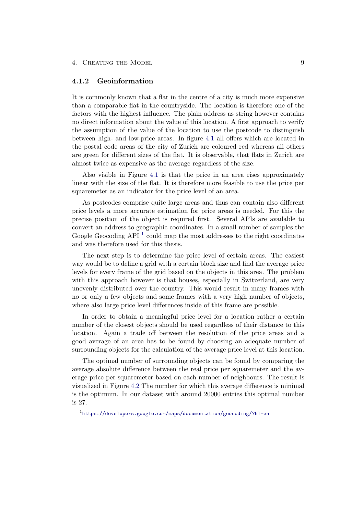#### <span id="page-10-0"></span>4.1.2 Geoinformation

It is commonly known that a flat in the centre of a city is much more expensive than a comparable flat in the countryside. The location is therefore one of the factors with the highest influence. The plain address as string however contains no direct information about the value of this location. A first approach to verify the assumption of the value of the location to use the postcode to distinguish between high- and low-price areas. In figure [4.1](#page-9-1) all offers which are located in the postal code areas of the city of Zurich are coloured red whereas all others are green for different sizes of the flat. It is observable, that flats in Zurich are almost twice as expensive as the average regardless of the size.

Also visible in Figure [4.1](#page-9-1) is that the price in an area rises approximately linear with the size of the flat. It is therefore more feasible to use the price per squaremeter as an indicator for the price level of an area.

As postcodes comprise quite large areas and thus can contain also different price levels a more accurate estimation for price areas is needed. For this the precise position of the object is required first. Several APIs are available to convert an address to geographic coordinates. In a small number of samples the Google Geocoding  $API<sup>1</sup>$  $API<sup>1</sup>$  $API<sup>1</sup>$  could map the most addresses to the right coordinates and was therefore used for this thesis.

The next step is to determine the price level of certain areas. The easiest way would be to define a grid with a certain block size and find the average price levels for every frame of the grid based on the objects in this area. The problem with this approach however is that houses, especially in Switzerland, are very unevenly distributed over the country. This would result in many frames with no or only a few objects and some frames with a very high number of objects, where also large price level differences inside of this frame are possible.

In order to obtain a meaningful price level for a location rather a certain number of the closest objects should be used regardless of their distance to this location. Again a trade off between the resolution of the price areas and a good average of an area has to be found by choosing an adequate number of surrounding objects for the calculation of the average price level at this location.

The optimal number of surrounding objects can be found by comparing the average absolute difference between the real price per squaremeter and the average price per squaremeter based on each number of neighbours. The result is visualized in Figure [4.2](#page-11-0) The number for which this average difference is minimal is the optimum. In our dataset with around 20000 entries this optimal number is 27.

<span id="page-10-1"></span> $^{\rm 1}$ <https://developers.google.com/maps/documentation/geocoding/?hl=en>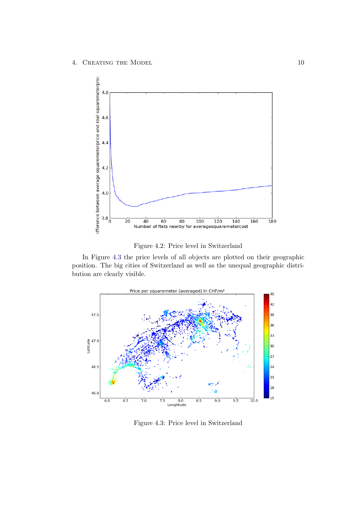

<span id="page-11-0"></span>Figure 4.2: Price level in Switzerland

In Figure [4.3](#page-11-1) the price levels of all objects are plotted on their geographic position. The big cities of Switzerland as well as the unequal geographic distribution are clearly visible.



<span id="page-11-1"></span>Figure 4.3: Price level in Switzerland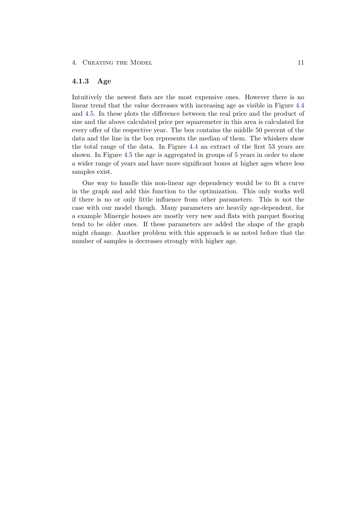#### <span id="page-12-0"></span>4.1.3 Age

Intuitively the newest flats are the most expensive ones. However there is no linear trend that the value decreases with increasing age as visible in Figure [4.4](#page-13-0) and [4.5.](#page-13-1) In these plots the difference between the real price and the product of size and the above calculated price per squaremeter in this area is calculated for every offer of the respective year. The box contains the middle 50 percent of the data and the line in the box represents the median of them. The whiskers show the total range of the data. In Figure [4.4](#page-13-0) an extract of the first 53 years are shown. In Figure [4.5](#page-13-1) the age is aggregated in groups of 5 years in order to show a wider range of years and have more significant boxes at higher ages where less samples exist.

One way to handle this non-linear age dependency would be to fit a curve in the graph and add this function to the optimization. This only works well if there is no or only little influence from other parameters. This is not the case with our model though. Many parameters are heavily age-dependent, for a example Minergie houses are mostly very new and flats with parquet flooring tend to be older ones. If these parameters are added the shape of the graph might change. Another problem with this approach is as noted before that the number of samples is decreases strongly with higher age.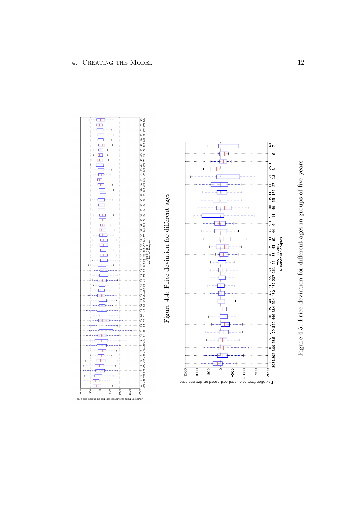<span id="page-13-1"></span><span id="page-13-0"></span>

Figure 4.4: Price deviation for different ages

Figure 4.4: Price deviation for different ages



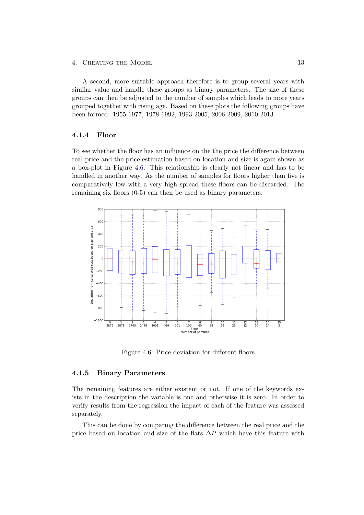A second, more suitable approach therefore is to group several years with similar value and handle these groups as binary parameters. The size of these groups can then be adjusted to the number of samples which leads to more years grouped together with rising age. Based on these plots the following groups have been formed: 1955-1977, 1978-1992, 1993-2005, 2006-2009, 2010-2013

#### <span id="page-14-0"></span>4.1.4 Floor

To see whether the floor has an influence on the the price the difference between real price and the price estimation based on location and size is again shown as a box-plot in Figure [4.6.](#page-14-2) This relationship is clearly not linear and has to be handled in another way. As the number of samples for floors higher than five is comparatively low with a very high spread these floors can be discarded. The remaining six floors (0-5) can then be used as binary parameters.



<span id="page-14-2"></span>Figure 4.6: Price deviation for different floors

#### <span id="page-14-1"></span>4.1.5 Binary Parameters

The remaining features are either existent or not. If one of the keywords exists in the description the variable is one and otherwise it is zero. In order to verify results from the regression the impact of each of the feature was assessed separately.

This can be done by comparing the difference between the real price and the price based on location and size of the flats  $\Delta P$  which have this feature with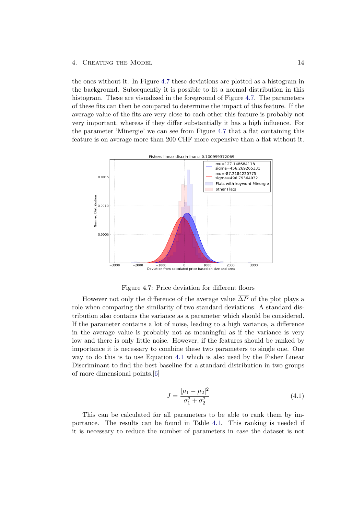the ones without it. In Figure [4.7](#page-15-0) these deviations are plotted as a histogram in the background. Subsequently it is possible to fit a normal distribution in this histogram. These are visualized in the foreground of Figure [4.7.](#page-15-0) The parameters of these fits can then be compared to determine the impact of this feature. If the average value of the fits are very close to each other this feature is probably not very important, whereas if they differ substantially it has a high influence. For the parameter 'Minergie' we can see from Figure [4.7](#page-15-0) that a flat containing this feature is on average more than 200 CHF more expensive than a flat without it.



<span id="page-15-0"></span>Figure 4.7: Price deviation for different floors

However not only the difference of the average value  $\overline{\Delta P}$  of the plot plays a role when comparing the similarity of two standard deviations. A standard distribution also contains the variance as a parameter which should be considered. If the parameter contains a lot of noise, leading to a high variance, a difference in the average value is probably not as meaningful as if the variance is very low and there is only little noise. However, if the features should be ranked by importance it is necessary to combine these two parameters to single one. One way to do this is to use Equation [4.1](#page-15-1) which is also used by the Fisher Linear Discriminant to find the best baseline for a standard distribution in two groups of more dimensional points.[\[6\]](#page-22-6)

$$
J = \frac{|\mu_1 - \mu_2|^2}{\sigma_1^2 + \sigma_2^2} \tag{4.1}
$$

<span id="page-15-1"></span>This can be calculated for all parameters to be able to rank them by importance. The results can be found in Table [4.1.](#page-16-0) This ranking is needed if it is necessary to reduce the number of parameters in case the dataset is not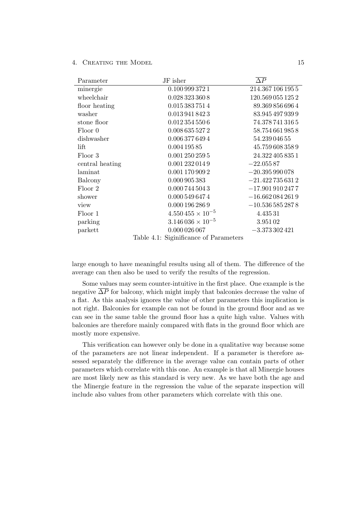| Parameter       | JF isher                               | $\overline{\Delta P}$ |
|-----------------|----------------------------------------|-----------------------|
| minergie        | 0.100 999 372 1                        | 214.367 106 195 5     |
| wheelchair      | 0.028 323 360 8                        | 120.569 055 125 2     |
| floor heating   | 0.015 383 751 4                        | 89.3698566964         |
| washer          | 0.013 941 842 3                        | 83.945 497 939 9      |
| stone floor     | 0.0123545506                           | 74.378 741 316 5      |
| Floor 0         | 0.008 635 527 2                        | 58.7546619858         |
| dishwasher      | 0.006 377 649 4                        | 54.239 046 55         |
| lift            | 0.004 195 85                           | 45.759 608 358 9      |
| Floor 3         | 0.001 250 259 5                        | 24.322 405 835 1      |
| central heating | 0.001 232 014 9                        | $-22.05587$           |
| laminat         | 0.001 170 909 2                        | $-20.395990078$       |
| Balcony         | 0.000 905 383                          | $-21.4227356312$      |
| Floor 2         | 0.000 744 504 3                        | $-17.9019102477$      |
| shower          | 0.000 549 647 4                        | $-16.6620842619$      |
| view            | 0.000 196 286 9                        | $-10.5365852878$      |
| Floor 1         | $4.550455 \times 10^{-5}$              | 4.43531               |
| parking         | $3.146\,036 \times 10^{-5}$            | 3.95102               |
| parkett         | 0.000 026 067                          | $-3.373302421$        |
|                 | Table 4.1: Siginificance of Parameters |                       |

<span id="page-16-0"></span>large enough to have meaningful results using all of them. The difference of the average can then also be used to verify the results of the regression.

Some values may seem counter-intuitive in the first place. One example is the negative  $\overline{\Delta P}$  for balcony, which might imply that balconies decrease the value of a flat. As this analysis ignores the value of other parameters this implication is not right. Balconies for example can not be found in the ground floor and as we can see in the same table the ground floor has a quite high value. Values with balconies are therefore mainly compared with flats in the ground floor which are mostly more expensive.

This verification can however only be done in a qualitative way because some of the parameters are not linear independent. If a parameter is therefore assessed separately the difference in the average value can contain parts of other parameters which correlate with this one. An example is that all Minergie houses are most likely new as this standard is very new. As we have both the age and the Minergie feature in the regression the value of the separate inspection will include also values from other parameters which correlate with this one.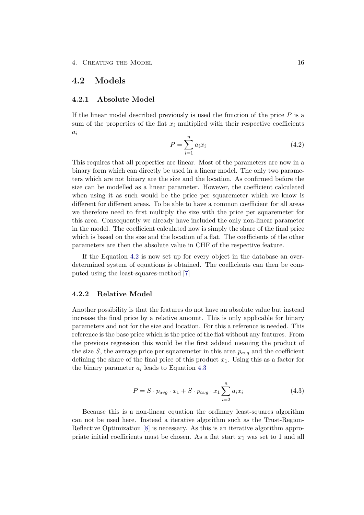### <span id="page-17-0"></span>4.2 Models

#### <span id="page-17-1"></span>4.2.1 Absolute Model

<span id="page-17-3"></span>If the linear model described previously is used the function of the price  $P$  is a sum of the properties of the flat  $x_i$  multiplied with their respective coefficients  $a_i$ 

$$
P = \sum_{i=1}^{n} a_i x_i \tag{4.2}
$$

This requires that all properties are linear. Most of the parameters are now in a binary form which can directly be used in a linear model. The only two parameters which are not binary are the size and the location. As confirmed before the size can be modelled as a linear parameter. However, the coefficient calculated when using it as such would be the price per squaremeter which we know is different for different areas. To be able to have a common coefficient for all areas we therefore need to first multiply the size with the price per squaremeter for this area. Consequently we already have included the only non-linear parameter in the model. The coefficient calculated now is simply the share of the final price which is based on the size and the location of a flat. The coefficients of the other parameters are then the absolute value in CHF of the respective feature.

If the Equation [4.2](#page-17-3) is now set up for every object in the database an overdetermined system of equations is obtained. The coefficients can then be computed using the least-squares-method.[\[7\]](#page-22-7)

#### <span id="page-17-2"></span>4.2.2 Relative Model

Another possibility is that the features do not have an absolute value but instead increase the final price by a relative amount. This is only applicable for binary parameters and not for the size and location. For this a reference is needed. This reference is the base price which is the price of the flat without any features. From the previous regression this would be the first addend meaning the product of the size S, the average price per squaremeter in this area  $p_{avg}$  and the coefficient defining the share of the final price of this product  $x_1$ . Using this as a factor for the binary parameter  $a_i$  leads to Equation [4.3](#page-17-4)

$$
P = S \cdot p_{avg} \cdot x_1 + S \cdot p_{avg} \cdot x_1 \sum_{i=2}^{n} a_i x_i \tag{4.3}
$$

<span id="page-17-4"></span>Because this is a non-linear equation the ordinary least-squares algorithm can not be used here. Instead a iterative algorithm such as the Trust-Region-Reflective Optimization [\[8\]](#page-22-8) is necessary. As this is an iterative algorithm appropriate initial coefficients must be chosen. As a flat start  $x_1$  was set to 1 and all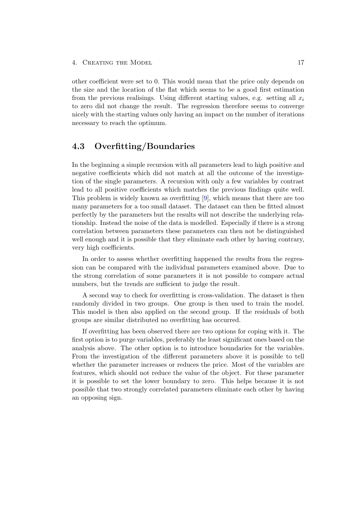other coefficient were set to 0. This would mean that the price only depends on the size and the location of the flat which seems to be a good first estimation from the previous realisings. Using different starting values, e.g. setting all  $x_i$ to zero did not change the result. The regression therefore seems to converge nicely with the starting values only having an impact on the number of iterations necessary to reach the optimum.

### <span id="page-18-0"></span>4.3 Overfitting/Boundaries

In the beginning a simple recursion with all parameters lead to high positive and negative coefficients which did not match at all the outcome of the investigation of the single parameters. A recursion with only a few variables by contrast lead to all positive coefficients which matches the previous findings quite well. This problem is widely known as overfitting [\[9\]](#page-22-9), which means that there are too many parameters for a too small dataset. The dataset can then be fitted almost perfectly by the parameters but the results will not describe the underlying relationship. Instead the noise of the data is modelled. Especially if there is a strong correlation between parameters these parameters can then not be distinguished well enough and it is possible that they eliminate each other by having contrary, very high coefficients.

In order to assess whether overfitting happened the results from the regression can be compared with the individual parameters examined above. Due to the strong correlation of some parameters it is not possible to compare actual numbers, but the trends are sufficient to judge the result.

A second way to check for overfitting is cross-validation. The dataset is then randomly divided in two groups. One group is then used to train the model. This model is then also applied on the second group. If the residuals of both groups are similar distributed no overfitting has occurred.

If overfitting has been observed there are two options for coping with it. The first option is to purge variables, preferably the least significant ones based on the analysis above. The other option is to introduce boundaries for the variables. From the investigation of the different parameters above it is possible to tell whether the parameter increases or reduces the price. Most of the variables are features, which should not reduce the value of the object. For these parameter it is possible to set the lower boundary to zero. This helps because it is not possible that two strongly correlated parameters eliminate each other by having an opposing sign.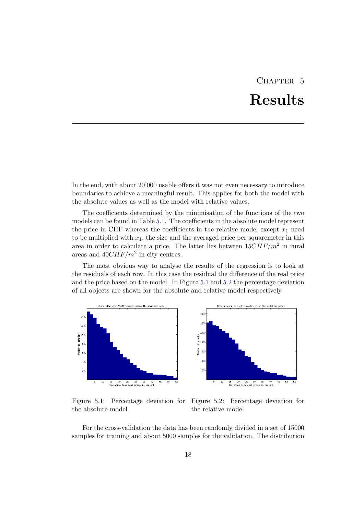## CHAPTER<sub>5</sub> Results

<span id="page-19-0"></span>In the end, with about 20'000 usable offers it was not even necessary to introduce boundaries to achieve a meaningful result. This applies for both the model with the absolute values as well as the model with relative values.

The coefficients determined by the minimisation of the functions of the two models can be found in Table [5.1.](#page-20-0) The coefficients in the absolute model represent the price in CHF whereas the coefficients in the relative model except  $x_1$  need to be multiplied with  $x_1$ , the size and the averaged price per squaremeter in this area in order to calculate a price. The latter lies between  $15CHF/m<sup>2</sup>$  in rural areas and  $40CHF/m^2$  in city centres.

The most obvious way to analyse the results of the regression is to look at the residuals of each row. In this case the residual the difference of the real price and the price based on the model. In Figure [5.1](#page-19-1) and [5.2](#page-19-2) the percentage deviation of all objects are shown for the absolute and relative model respectively.



<span id="page-19-2"></span><span id="page-19-1"></span>Figure 5.1: Percentage deviation for Figure 5.2: Percentage deviation for the absolute model the relative model

For the cross-validation the data has been randomly divided in a set of 15000 samples for training and about 5000 samples for the validation. The distribution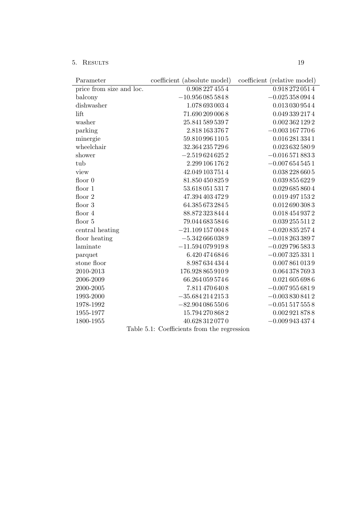5. Results 19

<span id="page-20-0"></span>

| Parameter                                   | coefficient (absolute model) | coefficient (relative model) |  |  |  |  |
|---------------------------------------------|------------------------------|------------------------------|--|--|--|--|
| price from size and loc.                    | 0.908 227 455 4              | 0.918 272 051 4              |  |  |  |  |
| balcony                                     | $-10.9560855848$             | $-0.0253580944$              |  |  |  |  |
| dishwasher                                  | 1.078 693 003 4              | 0.0130309544                 |  |  |  |  |
| lift                                        | 71.690 209 006 8             | 0.049 339 2174               |  |  |  |  |
| washer                                      | 25.841 589 539 7             | 0.0023621292                 |  |  |  |  |
| parking                                     | 2.818 163 376 7              | $-0.0031677706$              |  |  |  |  |
| minergie                                    | 59.8109961105                | 0.0162813341                 |  |  |  |  |
| wheelchair                                  | 32.364 235 729 6             | 0.023 632 580 9              |  |  |  |  |
| shower                                      | $-2.5196246252$              | $-0.0165718833$              |  |  |  |  |
| tub                                         | 2.299 106 176 2              | $-0.0076545451$              |  |  |  |  |
| view                                        | 42.049 103 751 4             | 0.0382286605                 |  |  |  |  |
| floor $0$                                   | 81.850 450 825 9             | 0.039 855 622 9              |  |  |  |  |
| floor $1$                                   | 53.6180515317                | 0.029 685 860 4              |  |  |  |  |
| floor 2                                     | 47.394 403 472 9             | 0.019 497 153 2              |  |  |  |  |
| floor 3                                     | 64.385 673 284 5             | 0.0126903083                 |  |  |  |  |
| floor 4                                     | 88.8723238444                | 0.018 454 937 2              |  |  |  |  |
| floor 5                                     | 79.0446835846                | 0.039 255 511 2              |  |  |  |  |
| central heating                             | $-21.1091570048$             | $-0.0208352574$              |  |  |  |  |
| floor heating                               | $-5.3426660389$              | $-0.0182633897$              |  |  |  |  |
| laminate                                    | $-11.5940799198$             | $-0.0297965833$              |  |  |  |  |
| parquet                                     | 6.420 474 684 6              | $-0.0073253311$              |  |  |  |  |
| stone floor                                 | 8.9876344344                 | 0.0078610139                 |  |  |  |  |
| 2010-2013                                   | 176.928 865 910 9            | 0.064 378 769 3              |  |  |  |  |
| 2006-2009                                   | 66.264 059 574 6             | 0.0216056986                 |  |  |  |  |
| 2000-2005                                   | 7.811 470 640 8              | $-0.0079556819$              |  |  |  |  |
| 1993-2000                                   | $-35.6842142153$             | $-0.0038308412$              |  |  |  |  |
| 1978-1992                                   | $-82.9040865506$             | $-0.0515175558$              |  |  |  |  |
| 1955-1977                                   | 15.794 270 868 2             | 0.002 921 878 8              |  |  |  |  |
| 1800-1955                                   | 40.628 312 077 0             | $-0.0099434374$              |  |  |  |  |
| Table 5.1: Coefficients from the regression |                              |                              |  |  |  |  |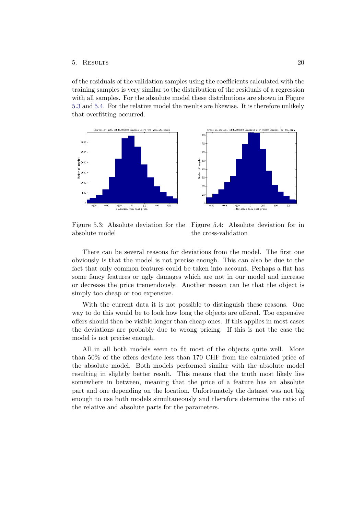#### 5. Results 20

of the residuals of the validation samples using the coefficients calculated with the training samples is very similar to the distribution of the residuals of a regression with all samples. For the absolute model these distributions are shown in Figure [5.3](#page-21-0) and [5.4.](#page-21-1) For the relative model the results are likewise. It is therefore unlikely that overfitting occurred.



absolute model

<span id="page-21-1"></span><span id="page-21-0"></span>Figure 5.3: Absolute deviation for the Figure 5.4: Absolute deviation for in the cross-validation

There can be several reasons for deviations from the model. The first one obviously is that the model is not precise enough. This can also be due to the fact that only common features could be taken into account. Perhaps a flat has some fancy features or ugly damages which are not in our model and increase or decrease the price tremendously. Another reason can be that the object is simply too cheap or too expensive.

With the current data it is not possible to distinguish these reasons. One way to do this would be to look how long the objects are offered. Too expensive offers should then be visible longer than cheap ones. If this applies in most cases the deviations are probably due to wrong pricing. If this is not the case the model is not precise enough.

All in all both models seem to fit most of the objects quite well. More than 50% of the offers deviate less than 170 CHF from the calculated price of the absolute model. Both models performed similar with the absolute model resulting in slightly better result. This means that the truth most likely lies somewhere in between, meaning that the price of a feature has an absolute part and one depending on the location. Unfortunately the dataset was not big enough to use both models simultaneously and therefore determine the ratio of the relative and absolute parts for the parameters.